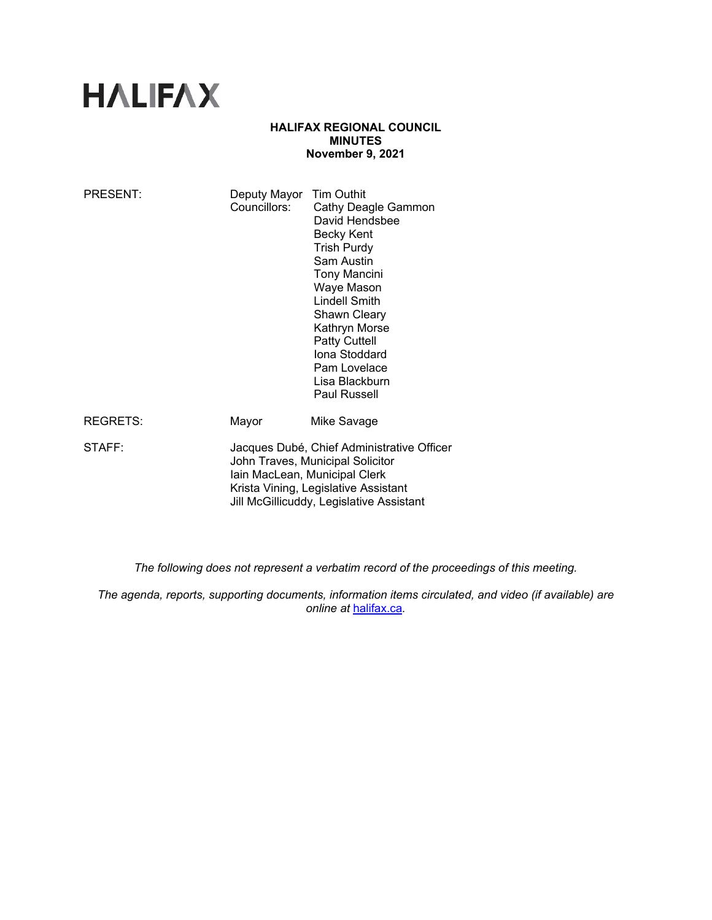# **HALIFAX**

### **HALIFAX REGIONAL COUNCIL MINUTES November 9, 2021**

| <b>PRESENT:</b> | Deputy Mayor<br>Councillors:                                                                                                                                                                        | <b>Tim Outhit</b><br>Cathy Deagle Gammon<br>David Hendsbee<br><b>Becky Kent</b><br><b>Trish Purdy</b><br>Sam Austin<br><b>Tony Mancini</b><br>Waye Mason<br><b>Lindell Smith</b><br>Shawn Cleary<br>Kathryn Morse<br>Patty Cuttell<br>Iona Stoddard<br>Pam Lovelace<br>Lisa Blackburn<br><b>Paul Russell</b> |
|-----------------|-----------------------------------------------------------------------------------------------------------------------------------------------------------------------------------------------------|--------------------------------------------------------------------------------------------------------------------------------------------------------------------------------------------------------------------------------------------------------------------------------------------------------------|
| <b>REGRETS:</b> | Mayor                                                                                                                                                                                               | Mike Savage                                                                                                                                                                                                                                                                                                  |
| STAFF:          | Jacques Dubé, Chief Administrative Officer<br>John Traves, Municipal Solicitor<br>Iain MacLean, Municipal Clerk<br>Krista Vining, Legislative Assistant<br>Jill McGillicuddy, Legislative Assistant |                                                                                                                                                                                                                                                                                                              |

*The following does not represent a verbatim record of the proceedings of this meeting.* 

*The agenda, reports, supporting documents, information items circulated, and video (if available) are online at* halifax.ca*.*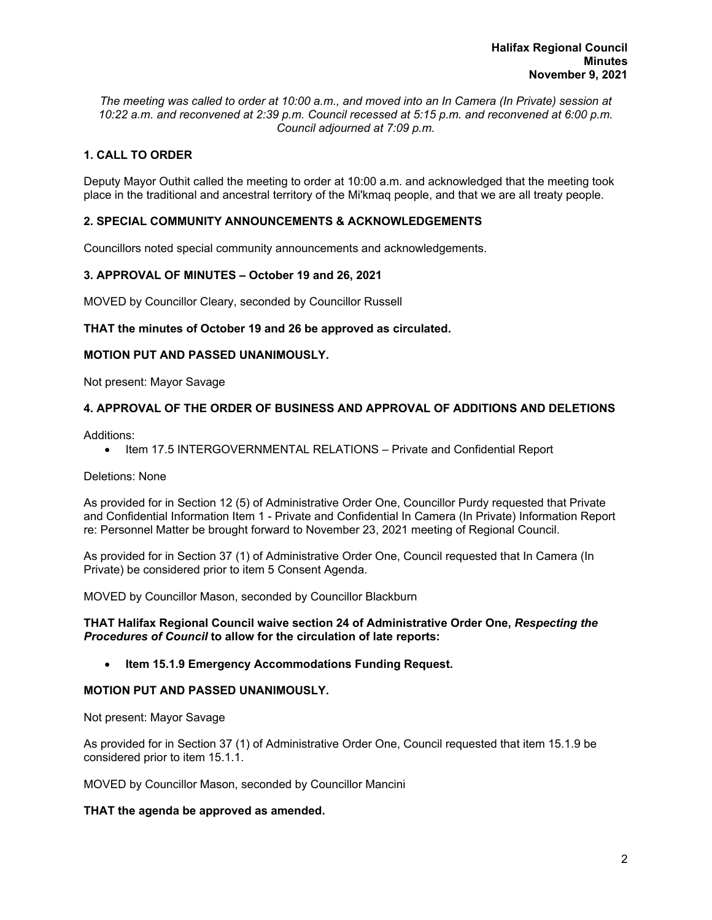*The meeting was called to order at 10:00 a.m., and moved into an In Camera (In Private) session at 10:22 a.m. and reconvened at 2:39 p.m. Council recessed at 5:15 p.m. and reconvened at 6:00 p.m. Council adjourned at 7:09 p.m.*

# **1. CALL TO ORDER**

Deputy Mayor Outhit called the meeting to order at 10:00 a.m. and acknowledged that the meeting took place in the traditional and ancestral territory of the Mi'kmaq people, and that we are all treaty people.

# **2. SPECIAL COMMUNITY ANNOUNCEMENTS & ACKNOWLEDGEMENTS**

Councillors noted special community announcements and acknowledgements.

# **3. APPROVAL OF MINUTES – October 19 and 26, 2021**

MOVED by Councillor Cleary, seconded by Councillor Russell

#### **THAT the minutes of October 19 and 26 be approved as circulated.**

#### **MOTION PUT AND PASSED UNANIMOUSLY.**

Not present: Mayor Savage

#### **4. APPROVAL OF THE ORDER OF BUSINESS AND APPROVAL OF ADDITIONS AND DELETIONS**

Additions:

• Item 17.5 INTERGOVERNMENTAL RELATIONS – Private and Confidential Report

## Deletions: None

As provided for in Section 12 (5) of Administrative Order One, Councillor Purdy requested that Private and Confidential Information Item 1 - Private and Confidential In Camera (In Private) Information Report re: Personnel Matter be brought forward to November 23, 2021 meeting of Regional Council.

As provided for in Section 37 (1) of Administrative Order One, Council requested that In Camera (In Private) be considered prior to item 5 Consent Agenda.

MOVED by Councillor Mason, seconded by Councillor Blackburn

#### **THAT Halifax Regional Council waive section 24 of Administrative Order One,** *Respecting the Procedures of Council* **to allow for the circulation of late reports:**

# **Item 15.1.9 Emergency Accommodations Funding Request.**

### **MOTION PUT AND PASSED UNANIMOUSLY.**

Not present: Mayor Savage

As provided for in Section 37 (1) of Administrative Order One, Council requested that item 15.1.9 be considered prior to item 15.1.1.

MOVED by Councillor Mason, seconded by Councillor Mancini

#### **THAT the agenda be approved as amended.**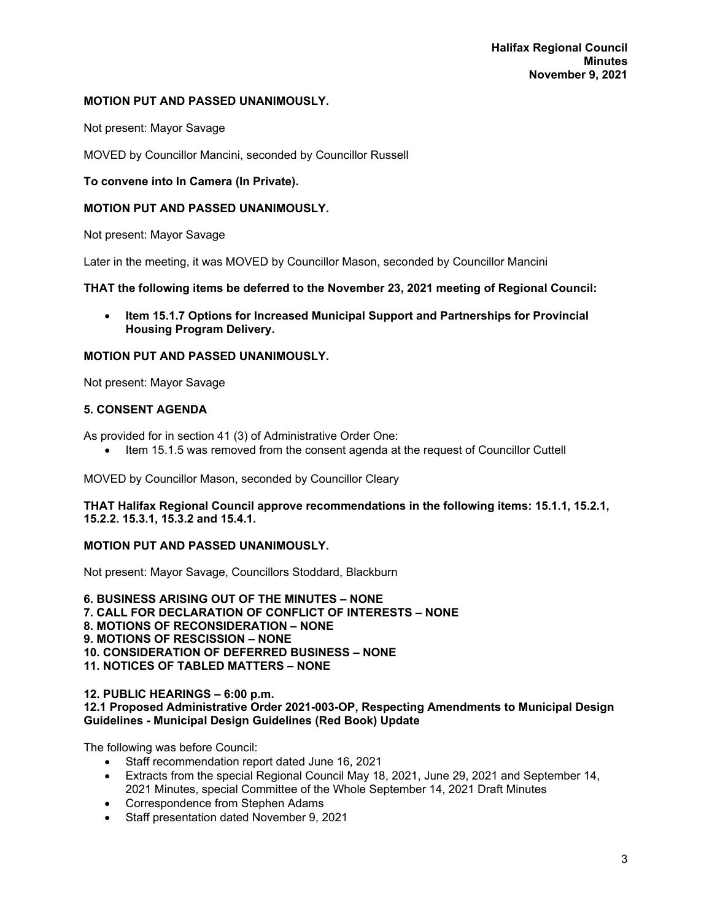# **MOTION PUT AND PASSED UNANIMOUSLY.**

Not present: Mayor Savage

MOVED by Councillor Mancini, seconded by Councillor Russell

# **To convene into In Camera (In Private).**

# **MOTION PUT AND PASSED UNANIMOUSLY.**

Not present: Mayor Savage

Later in the meeting, it was MOVED by Councillor Mason, seconded by Councillor Mancini

# **THAT the following items be deferred to the November 23, 2021 meeting of Regional Council:**

 **Item 15.1.7 Options for Increased Municipal Support and Partnerships for Provincial Housing Program Delivery.** 

# **MOTION PUT AND PASSED UNANIMOUSLY.**

Not present: Mayor Savage

# **5. CONSENT AGENDA**

As provided for in section 41 (3) of Administrative Order One:

• Item 15.1.5 was removed from the consent agenda at the request of Councillor Cuttell

MOVED by Councillor Mason, seconded by Councillor Cleary

**THAT Halifax Regional Council approve recommendations in the following items: 15.1.1, 15.2.1, 15.2.2. 15.3.1, 15.3.2 and 15.4.1.** 

### **MOTION PUT AND PASSED UNANIMOUSLY.**

Not present: Mayor Savage, Councillors Stoddard, Blackburn

**6. BUSINESS ARISING OUT OF THE MINUTES – NONE 7. CALL FOR DECLARATION OF CONFLICT OF INTERESTS – NONE 8. MOTIONS OF RECONSIDERATION – NONE 9. MOTIONS OF RESCISSION – NONE 10. CONSIDERATION OF DEFERRED BUSINESS – NONE 11. NOTICES OF TABLED MATTERS – NONE** 

#### **12. PUBLIC HEARINGS – 6:00 p.m.**

# **12.1 Proposed Administrative Order 2021-003-OP, Respecting Amendments to Municipal Design Guidelines - Municipal Design Guidelines (Red Book) Update**

The following was before Council:

- Staff recommendation report dated June 16, 2021
- Extracts from the special Regional Council May 18, 2021, June 29, 2021 and September 14, 2021 Minutes, special Committee of the Whole September 14, 2021 Draft Minutes
- Correspondence from Stephen Adams
- Staff presentation dated November 9, 2021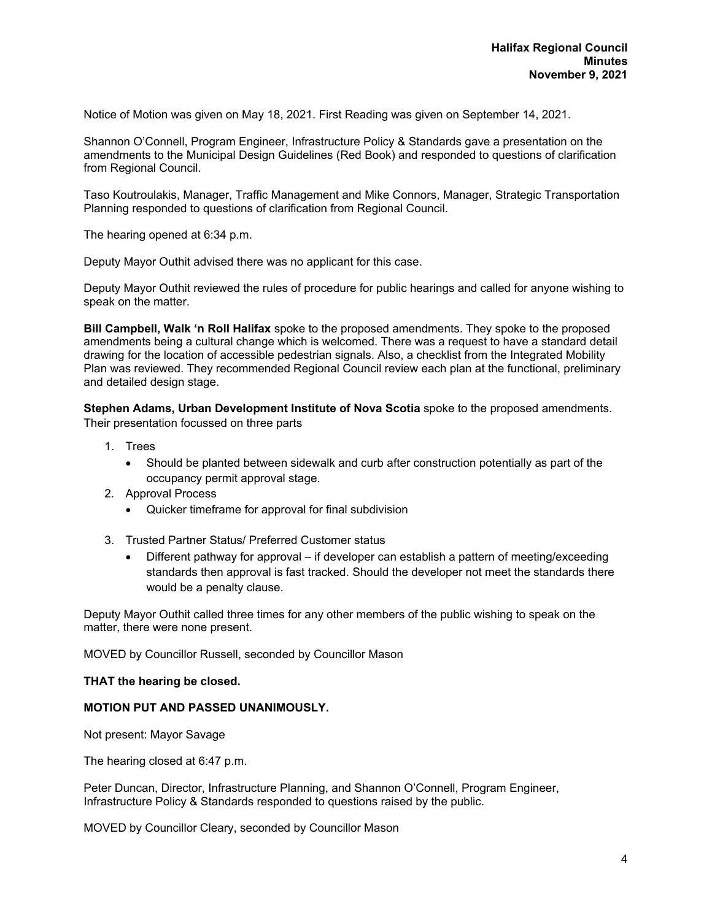Notice of Motion was given on May 18, 2021. First Reading was given on September 14, 2021.

Shannon O'Connell, Program Engineer, Infrastructure Policy & Standards gave a presentation on the amendments to the Municipal Design Guidelines (Red Book) and responded to questions of clarification from Regional Council.

Taso Koutroulakis, Manager, Traffic Management and Mike Connors, Manager, Strategic Transportation Planning responded to questions of clarification from Regional Council.

The hearing opened at 6:34 p.m.

Deputy Mayor Outhit advised there was no applicant for this case.

Deputy Mayor Outhit reviewed the rules of procedure for public hearings and called for anyone wishing to speak on the matter.

**Bill Campbell, Walk 'n Roll Halifax** spoke to the proposed amendments. They spoke to the proposed amendments being a cultural change which is welcomed. There was a request to have a standard detail drawing for the location of accessible pedestrian signals. Also, a checklist from the Integrated Mobility Plan was reviewed. They recommended Regional Council review each plan at the functional, preliminary and detailed design stage.

**Stephen Adams, Urban Development Institute of Nova Scotia** spoke to the proposed amendments. Their presentation focussed on three parts

- 1. Trees
	- Should be planted between sidewalk and curb after construction potentially as part of the occupancy permit approval stage.
- 2. Approval Process
	- Quicker timeframe for approval for final subdivision
- 3. Trusted Partner Status/ Preferred Customer status
	- Different pathway for approval if developer can establish a pattern of meeting/exceeding standards then approval is fast tracked. Should the developer not meet the standards there would be a penalty clause.

Deputy Mayor Outhit called three times for any other members of the public wishing to speak on the matter, there were none present.

MOVED by Councillor Russell, seconded by Councillor Mason

#### **THAT the hearing be closed.**

#### **MOTION PUT AND PASSED UNANIMOUSLY.**

Not present: Mayor Savage

The hearing closed at 6:47 p.m.

Peter Duncan, Director, Infrastructure Planning, and Shannon O'Connell, Program Engineer, Infrastructure Policy & Standards responded to questions raised by the public.

MOVED by Councillor Cleary, seconded by Councillor Mason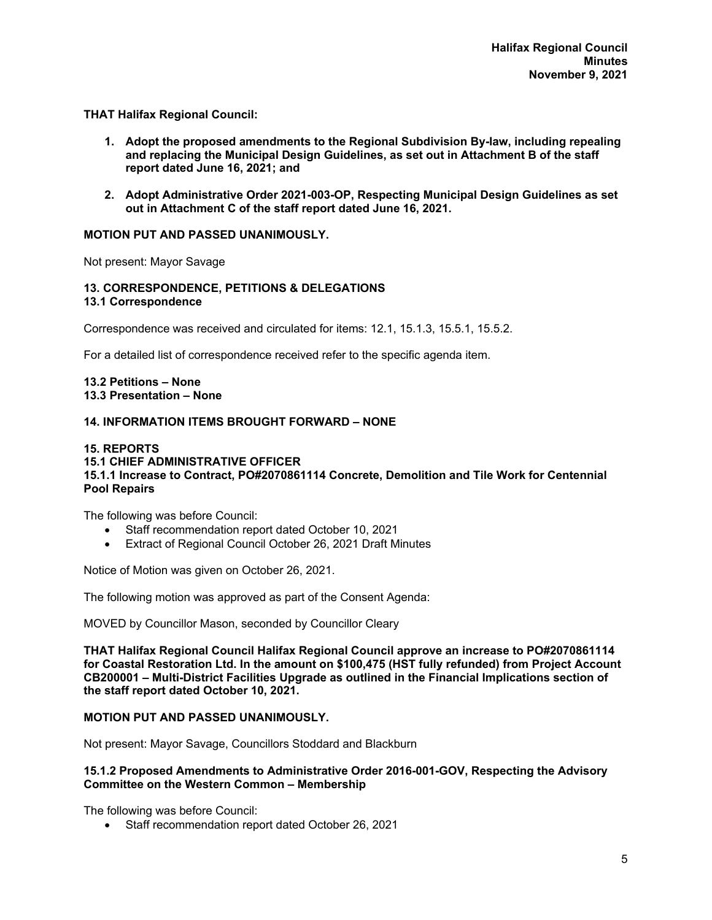**THAT Halifax Regional Council:** 

- **1. Adopt the proposed amendments to the Regional Subdivision By-law, including repealing and replacing the Municipal Design Guidelines, as set out in Attachment B of the staff report dated June 16, 2021; and**
- **2. Adopt Administrative Order 2021-003-OP, Respecting Municipal Design Guidelines as set out in Attachment C of the staff report dated June 16, 2021.**

#### **MOTION PUT AND PASSED UNANIMOUSLY.**

Not present: Mayor Savage

# **13. CORRESPONDENCE, PETITIONS & DELEGATIONS**

**13.1 Correspondence** 

Correspondence was received and circulated for items: 12.1, 15.1.3, 15.5.1, 15.5.2.

For a detailed list of correspondence received refer to the specific agenda item.

**13.2 Petitions – None 13.3 Presentation – None** 

# **14. INFORMATION ITEMS BROUGHT FORWARD – NONE**

#### **15. REPORTS 15.1 CHIEF ADMINISTRATIVE OFFICER 15.1.1 Increase to Contract, PO#2070861114 Concrete, Demolition and Tile Work for Centennial Pool Repairs**

The following was before Council:

- Staff recommendation report dated October 10, 2021
- Extract of Regional Council October 26, 2021 Draft Minutes

Notice of Motion was given on October 26, 2021.

The following motion was approved as part of the Consent Agenda:

MOVED by Councillor Mason, seconded by Councillor Cleary

**THAT Halifax Regional Council Halifax Regional Council approve an increase to PO#2070861114 for Coastal Restoration Ltd. In the amount on \$100,475 (HST fully refunded) from Project Account CB200001 – Multi-District Facilities Upgrade as outlined in the Financial Implications section of the staff report dated October 10, 2021.** 

# **MOTION PUT AND PASSED UNANIMOUSLY.**

Not present: Mayor Savage, Councillors Stoddard and Blackburn

#### **15.1.2 Proposed Amendments to Administrative Order 2016-001-GOV, Respecting the Advisory Committee on the Western Common – Membership**

The following was before Council:

Staff recommendation report dated October 26, 2021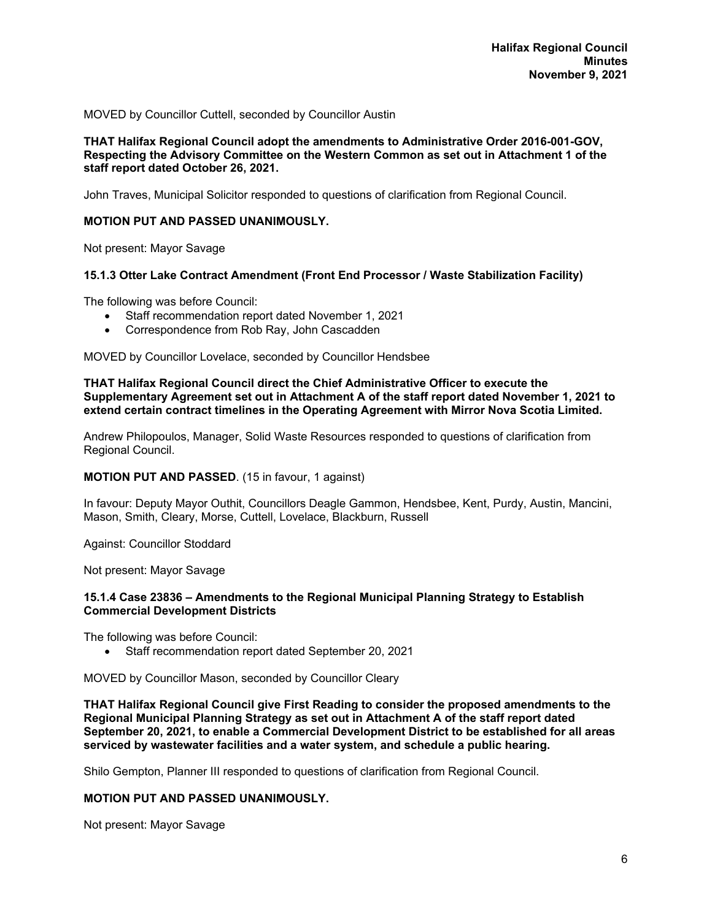MOVED by Councillor Cuttell, seconded by Councillor Austin

#### **THAT Halifax Regional Council adopt the amendments to Administrative Order 2016-001-GOV, Respecting the Advisory Committee on the Western Common as set out in Attachment 1 of the staff report dated October 26, 2021.**

John Traves, Municipal Solicitor responded to questions of clarification from Regional Council.

### **MOTION PUT AND PASSED UNANIMOUSLY.**

Not present: Mayor Savage

## **15.1.3 Otter Lake Contract Amendment (Front End Processor / Waste Stabilization Facility)**

The following was before Council:

- Staff recommendation report dated November 1, 2021
- Correspondence from Rob Ray, John Cascadden

MOVED by Councillor Lovelace, seconded by Councillor Hendsbee

**THAT Halifax Regional Council direct the Chief Administrative Officer to execute the Supplementary Agreement set out in Attachment A of the staff report dated November 1, 2021 to extend certain contract timelines in the Operating Agreement with Mirror Nova Scotia Limited.** 

Andrew Philopoulos, Manager, Solid Waste Resources responded to questions of clarification from Regional Council.

#### **MOTION PUT AND PASSED**. (15 in favour, 1 against)

In favour: Deputy Mayor Outhit, Councillors Deagle Gammon, Hendsbee, Kent, Purdy, Austin, Mancini, Mason, Smith, Cleary, Morse, Cuttell, Lovelace, Blackburn, Russell

Against: Councillor Stoddard

Not present: Mayor Savage

#### **15.1.4 Case 23836 – Amendments to the Regional Municipal Planning Strategy to Establish Commercial Development Districts**

The following was before Council:

Staff recommendation report dated September 20, 2021

MOVED by Councillor Mason, seconded by Councillor Cleary

**THAT Halifax Regional Council give First Reading to consider the proposed amendments to the Regional Municipal Planning Strategy as set out in Attachment A of the staff report dated September 20, 2021, to enable a Commercial Development District to be established for all areas serviced by wastewater facilities and a water system, and schedule a public hearing.** 

Shilo Gempton, Planner III responded to questions of clarification from Regional Council.

# **MOTION PUT AND PASSED UNANIMOUSLY.**

Not present: Mayor Savage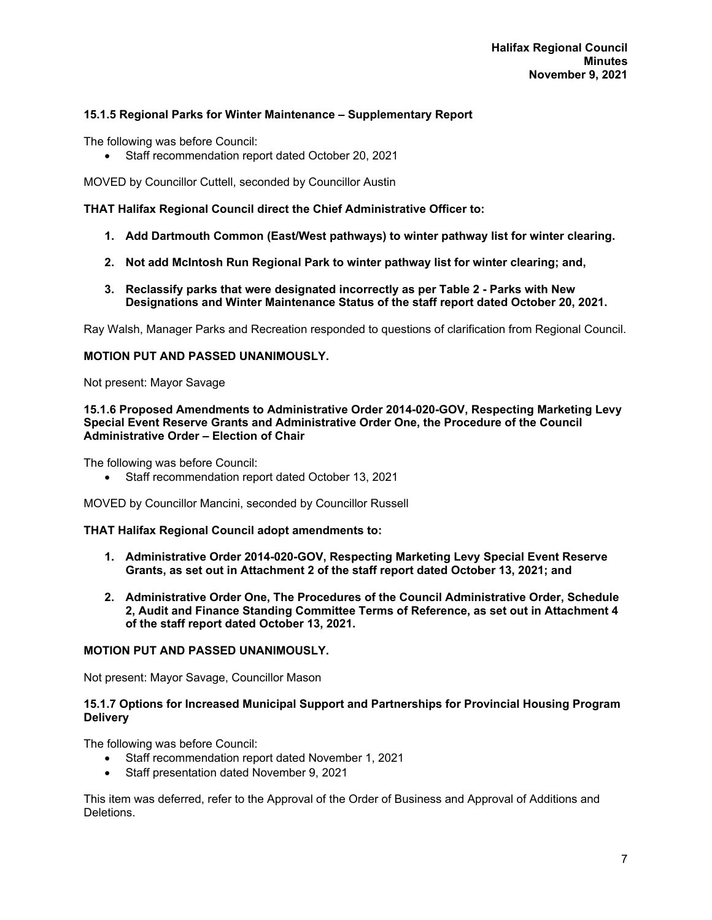# **15.1.5 Regional Parks for Winter Maintenance – Supplementary Report**

The following was before Council:

Staff recommendation report dated October 20, 2021

MOVED by Councillor Cuttell, seconded by Councillor Austin

**THAT Halifax Regional Council direct the Chief Administrative Officer to:** 

- **1. Add Dartmouth Common (East/West pathways) to winter pathway list for winter clearing.**
- **2. Not add McIntosh Run Regional Park to winter pathway list for winter clearing; and,**
- **3. Reclassify parks that were designated incorrectly as per Table 2 Parks with New Designations and Winter Maintenance Status of the staff report dated October 20, 2021.**

Ray Walsh, Manager Parks and Recreation responded to questions of clarification from Regional Council.

#### **MOTION PUT AND PASSED UNANIMOUSLY.**

Not present: Mayor Savage

#### **15.1.6 Proposed Amendments to Administrative Order 2014-020-GOV, Respecting Marketing Levy Special Event Reserve Grants and Administrative Order One, the Procedure of the Council Administrative Order – Election of Chair**

The following was before Council:

Staff recommendation report dated October 13, 2021

MOVED by Councillor Mancini, seconded by Councillor Russell

#### **THAT Halifax Regional Council adopt amendments to:**

- **1. Administrative Order 2014-020-GOV, Respecting Marketing Levy Special Event Reserve Grants, as set out in Attachment 2 of the staff report dated October 13, 2021; and**
- **2. Administrative Order One, The Procedures of the Council Administrative Order, Schedule 2, Audit and Finance Standing Committee Terms of Reference, as set out in Attachment 4 of the staff report dated October 13, 2021.**

#### **MOTION PUT AND PASSED UNANIMOUSLY.**

Not present: Mayor Savage, Councillor Mason

#### **15.1.7 Options for Increased Municipal Support and Partnerships for Provincial Housing Program Delivery**

The following was before Council:

- Staff recommendation report dated November 1, 2021
- Staff presentation dated November 9, 2021

This item was deferred, refer to the Approval of the Order of Business and Approval of Additions and Deletions.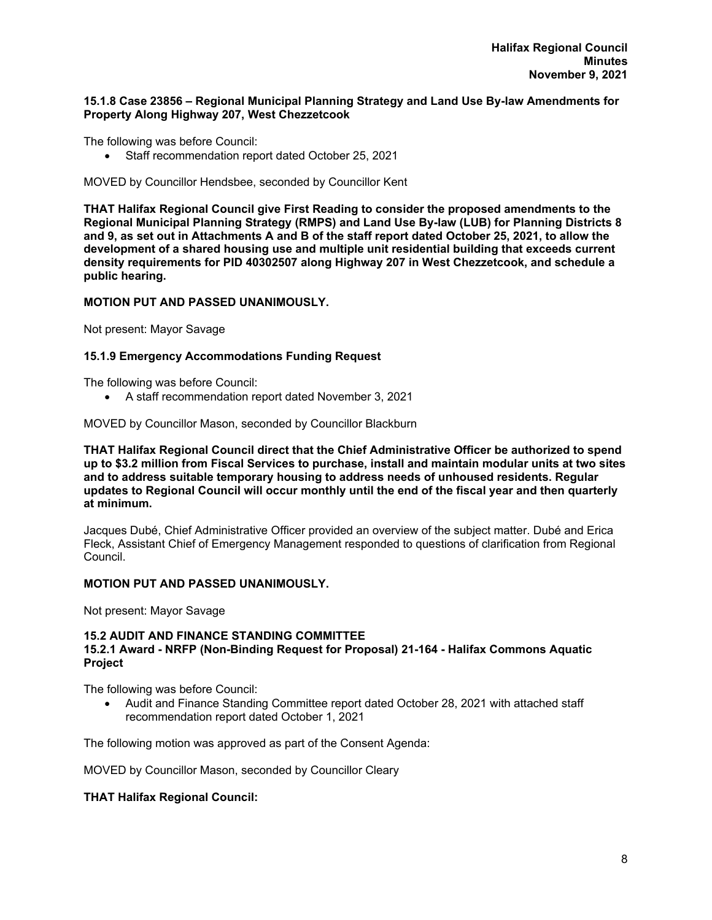### **15.1.8 Case 23856 – Regional Municipal Planning Strategy and Land Use By-law Amendments for Property Along Highway 207, West Chezzetcook**

The following was before Council:

Staff recommendation report dated October 25, 2021

MOVED by Councillor Hendsbee, seconded by Councillor Kent

**THAT Halifax Regional Council give First Reading to consider the proposed amendments to the Regional Municipal Planning Strategy (RMPS) and Land Use By-law (LUB) for Planning Districts 8 and 9, as set out in Attachments A and B of the staff report dated October 25, 2021, to allow the development of a shared housing use and multiple unit residential building that exceeds current density requirements for PID 40302507 along Highway 207 in West Chezzetcook, and schedule a public hearing.** 

#### **MOTION PUT AND PASSED UNANIMOUSLY.**

Not present: Mayor Savage

# **15.1.9 Emergency Accommodations Funding Request**

The following was before Council:

A staff recommendation report dated November 3, 2021

MOVED by Councillor Mason, seconded by Councillor Blackburn

**THAT Halifax Regional Council direct that the Chief Administrative Officer be authorized to spend up to \$3.2 million from Fiscal Services to purchase, install and maintain modular units at two sites and to address suitable temporary housing to address needs of unhoused residents. Regular updates to Regional Council will occur monthly until the end of the fiscal year and then quarterly at minimum.** 

Jacques Dubé, Chief Administrative Officer provided an overview of the subject matter. Dubé and Erica Fleck, Assistant Chief of Emergency Management responded to questions of clarification from Regional Council.

# **MOTION PUT AND PASSED UNANIMOUSLY.**

Not present: Mayor Savage

#### **15.2 AUDIT AND FINANCE STANDING COMMITTEE 15.2.1 Award - NRFP (Non-Binding Request for Proposal) 21-164 - Halifax Commons Aquatic Project**

The following was before Council:

 Audit and Finance Standing Committee report dated October 28, 2021 with attached staff recommendation report dated October 1, 2021

The following motion was approved as part of the Consent Agenda:

MOVED by Councillor Mason, seconded by Councillor Cleary

#### **THAT Halifax Regional Council:**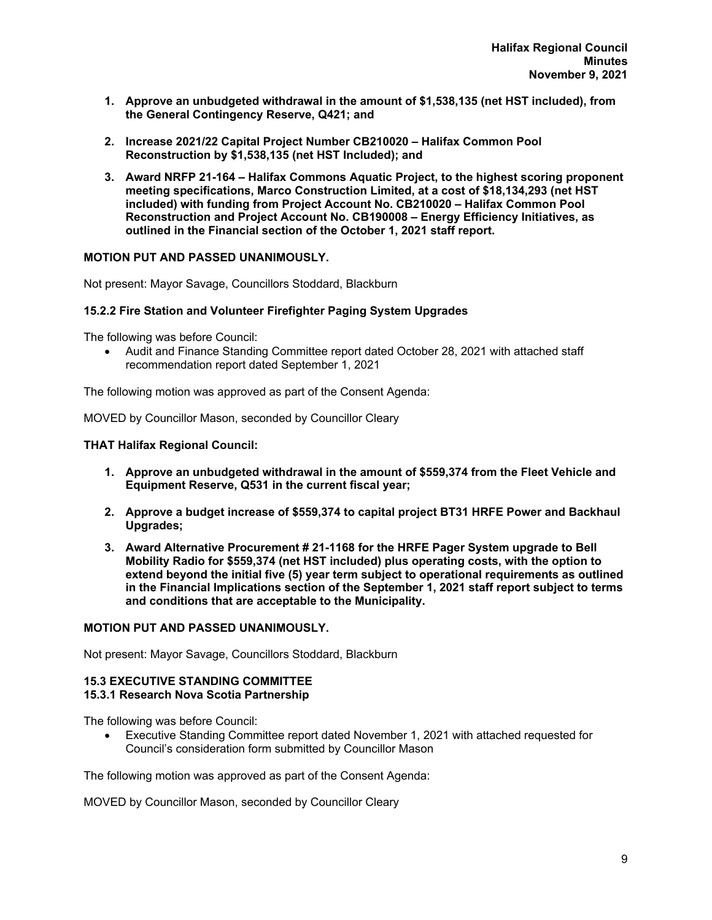- **1. Approve an unbudgeted withdrawal in the amount of \$1,538,135 (net HST included), from the General Contingency Reserve, Q421; and**
- **2. Increase 2021/22 Capital Project Number CB210020 Halifax Common Pool Reconstruction by \$1,538,135 (net HST Included); and**
- **3. Award NRFP 21-164 Halifax Commons Aquatic Project, to the highest scoring proponent meeting specifications, Marco Construction Limited, at a cost of \$18,134,293 (net HST included) with funding from Project Account No. CB210020 – Halifax Common Pool Reconstruction and Project Account No. CB190008 – Energy Efficiency Initiatives, as outlined in the Financial section of the October 1, 2021 staff report.**

# **MOTION PUT AND PASSED UNANIMOUSLY.**

Not present: Mayor Savage, Councillors Stoddard, Blackburn

# **15.2.2 Fire Station and Volunteer Firefighter Paging System Upgrades**

The following was before Council:

 Audit and Finance Standing Committee report dated October 28, 2021 with attached staff recommendation report dated September 1, 2021

The following motion was approved as part of the Consent Agenda:

MOVED by Councillor Mason, seconded by Councillor Cleary

**THAT Halifax Regional Council:** 

- **1. Approve an unbudgeted withdrawal in the amount of \$559,374 from the Fleet Vehicle and Equipment Reserve, Q531 in the current fiscal year;**
- **2. Approve a budget increase of \$559,374 to capital project BT31 HRFE Power and Backhaul Upgrades;**
- **3. Award Alternative Procurement # 21-1168 for the HRFE Pager System upgrade to Bell Mobility Radio for \$559,374 (net HST included) plus operating costs, with the option to extend beyond the initial five (5) year term subject to operational requirements as outlined in the Financial Implications section of the September 1, 2021 staff report subject to terms and conditions that are acceptable to the Municipality.**

#### **MOTION PUT AND PASSED UNANIMOUSLY.**

Not present: Mayor Savage, Councillors Stoddard, Blackburn

#### **15.3 EXECUTIVE STANDING COMMITTEE 15.3.1 Research Nova Scotia Partnership**

The following was before Council:

 Executive Standing Committee report dated November 1, 2021 with attached requested for Council's consideration form submitted by Councillor Mason

The following motion was approved as part of the Consent Agenda:

MOVED by Councillor Mason, seconded by Councillor Cleary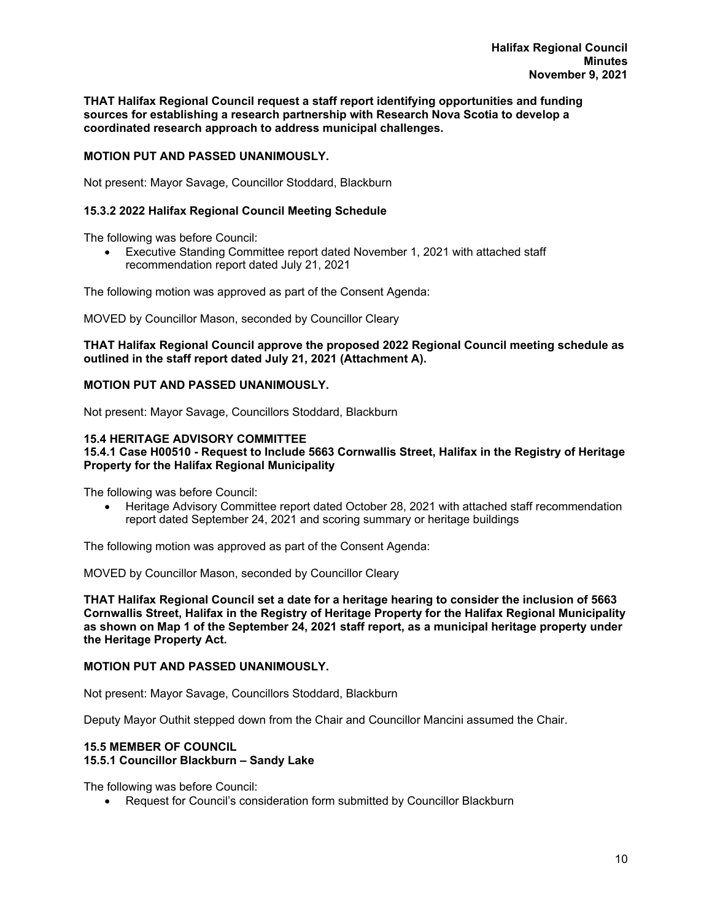**THAT Halifax Regional Council request a staff report identifying opportunities and funding sources for establishing a research partnership with Research Nova Scotia to develop a coordinated research approach to address municipal challenges.** 

# **MOTION PUT AND PASSED UNANIMOUSLY.**

Not present: Mayor Savage, Councillor Stoddard, Blackburn

# **15.3.2 2022 Halifax Regional Council Meeting Schedule**

The following was before Council:

 Executive Standing Committee report dated November 1, 2021 with attached staff recommendation report dated July 21, 2021

The following motion was approved as part of the Consent Agenda:

MOVED by Councillor Mason, seconded by Councillor Cleary

### **THAT Halifax Regional Council approve the proposed 2022 Regional Council meeting schedule as outlined in the staff report dated July 21, 2021 (Attachment A).**

#### **MOTION PUT AND PASSED UNANIMOUSLY.**

Not present: Mayor Savage, Councillors Stoddard, Blackburn

#### **15.4 HERITAGE ADVISORY COMMITTEE**

### **15.4.1 Case H00510 - Request to Include 5663 Cornwallis Street, Halifax in the Registry of Heritage Property for the Halifax Regional Municipality**

The following was before Council:

• Heritage Advisory Committee report dated October 28, 2021 with attached staff recommendation report dated September 24, 2021 and scoring summary or heritage buildings

The following motion was approved as part of the Consent Agenda:

MOVED by Councillor Mason, seconded by Councillor Cleary

**THAT Halifax Regional Council set a date for a heritage hearing to consider the inclusion of 5663 Cornwallis Street, Halifax in the Registry of Heritage Property for the Halifax Regional Municipality as shown on Map 1 of the September 24, 2021 staff report, as a municipal heritage property under the Heritage Property Act.** 

#### **MOTION PUT AND PASSED UNANIMOUSLY.**

Not present: Mayor Savage, Councillors Stoddard, Blackburn

Deputy Mayor Outhit stepped down from the Chair and Councillor Mancini assumed the Chair.

# **15.5 MEMBER OF COUNCIL**

# **15.5.1 Councillor Blackburn – Sandy Lake**

The following was before Council:

Request for Council's consideration form submitted by Councillor Blackburn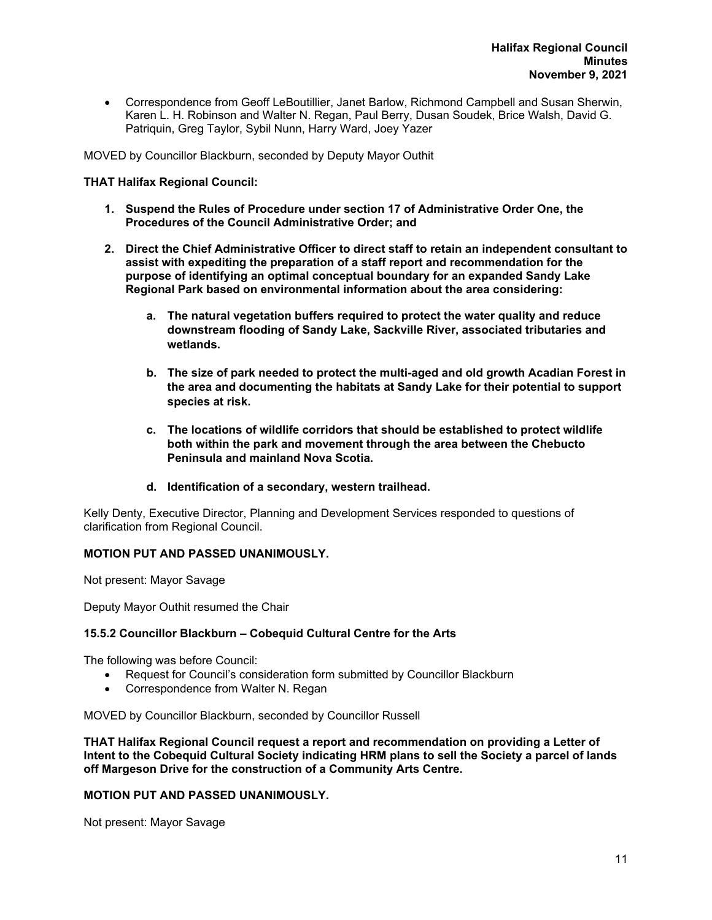Correspondence from Geoff LeBoutillier, Janet Barlow, Richmond Campbell and Susan Sherwin, Karen L. H. Robinson and Walter N. Regan, Paul Berry, Dusan Soudek, Brice Walsh, David G. Patriquin, Greg Taylor, Sybil Nunn, Harry Ward, Joey Yazer

MOVED by Councillor Blackburn, seconded by Deputy Mayor Outhit

# **THAT Halifax Regional Council:**

- **1. Suspend the Rules of Procedure under section 17 of Administrative Order One, the Procedures of the Council Administrative Order; and**
- **2. Direct the Chief Administrative Officer to direct staff to retain an independent consultant to assist with expediting the preparation of a staff report and recommendation for the purpose of identifying an optimal conceptual boundary for an expanded Sandy Lake Regional Park based on environmental information about the area considering:** 
	- **a. The natural vegetation buffers required to protect the water quality and reduce downstream flooding of Sandy Lake, Sackville River, associated tributaries and wetlands.**
	- **b. The size of park needed to protect the multi-aged and old growth Acadian Forest in the area and documenting the habitats at Sandy Lake for their potential to support species at risk.**
	- **c. The locations of wildlife corridors that should be established to protect wildlife both within the park and movement through the area between the Chebucto Peninsula and mainland Nova Scotia.**
	- **d. Identification of a secondary, western trailhead.**

Kelly Denty, Executive Director, Planning and Development Services responded to questions of clarification from Regional Council.

# **MOTION PUT AND PASSED UNANIMOUSLY.**

Not present: Mayor Savage

Deputy Mayor Outhit resumed the Chair

#### **15.5.2 Councillor Blackburn – Cobequid Cultural Centre for the Arts**

The following was before Council:

- Request for Council's consideration form submitted by Councillor Blackburn
- Correspondence from Walter N. Regan

MOVED by Councillor Blackburn, seconded by Councillor Russell

**THAT Halifax Regional Council request a report and recommendation on providing a Letter of Intent to the Cobequid Cultural Society indicating HRM plans to sell the Society a parcel of lands off Margeson Drive for the construction of a Community Arts Centre.** 

#### **MOTION PUT AND PASSED UNANIMOUSLY.**

Not present: Mayor Savage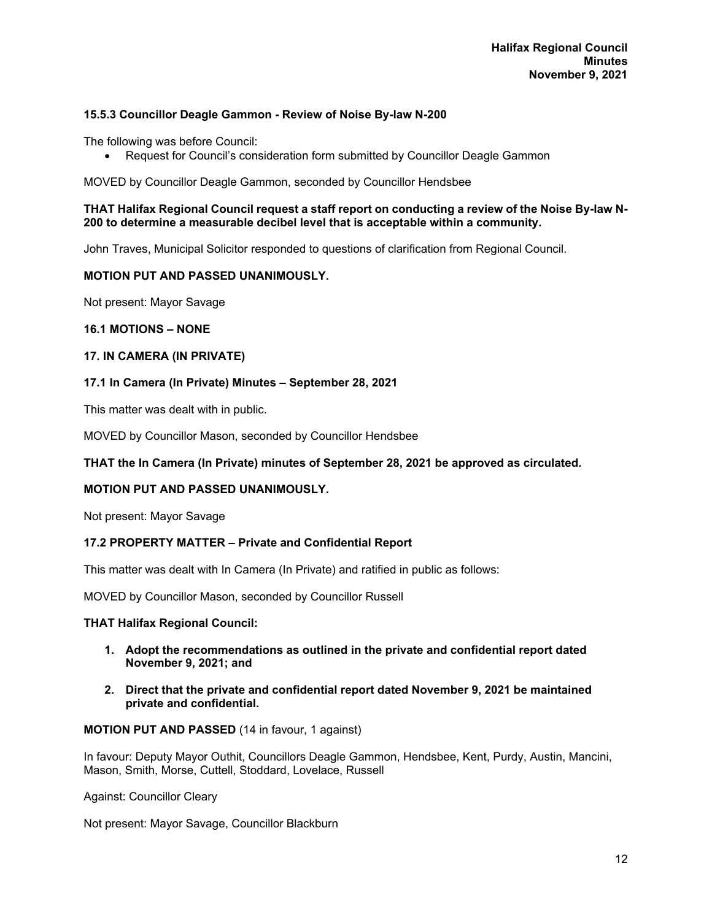# **15.5.3 Councillor Deagle Gammon - Review of Noise By-law N-200**

The following was before Council:

Request for Council's consideration form submitted by Councillor Deagle Gammon

MOVED by Councillor Deagle Gammon, seconded by Councillor Hendsbee

#### **THAT Halifax Regional Council request a staff report on conducting a review of the Noise By-law N-200 to determine a measurable decibel level that is acceptable within a community.**

John Traves, Municipal Solicitor responded to questions of clarification from Regional Council.

# **MOTION PUT AND PASSED UNANIMOUSLY.**

Not present: Mayor Savage

# **16.1 MOTIONS – NONE**

#### **17. IN CAMERA (IN PRIVATE)**

# **17.1 In Camera (In Private) Minutes – September 28, 2021**

This matter was dealt with in public.

MOVED by Councillor Mason, seconded by Councillor Hendsbee

# **THAT the In Camera (In Private) minutes of September 28, 2021 be approved as circulated.**

# **MOTION PUT AND PASSED UNANIMOUSLY.**

Not present: Mayor Savage

#### **17.2 PROPERTY MATTER – Private and Confidential Report**

This matter was dealt with In Camera (In Private) and ratified in public as follows:

MOVED by Councillor Mason, seconded by Councillor Russell

#### **THAT Halifax Regional Council:**

- **1. Adopt the recommendations as outlined in the private and confidential report dated November 9, 2021; and**
- **2. Direct that the private and confidential report dated November 9, 2021 be maintained private and confidential.**

#### **MOTION PUT AND PASSED** (14 in favour, 1 against)

In favour: Deputy Mayor Outhit, Councillors Deagle Gammon, Hendsbee, Kent, Purdy, Austin, Mancini, Mason, Smith, Morse, Cuttell, Stoddard, Lovelace, Russell

Against: Councillor Cleary

Not present: Mayor Savage, Councillor Blackburn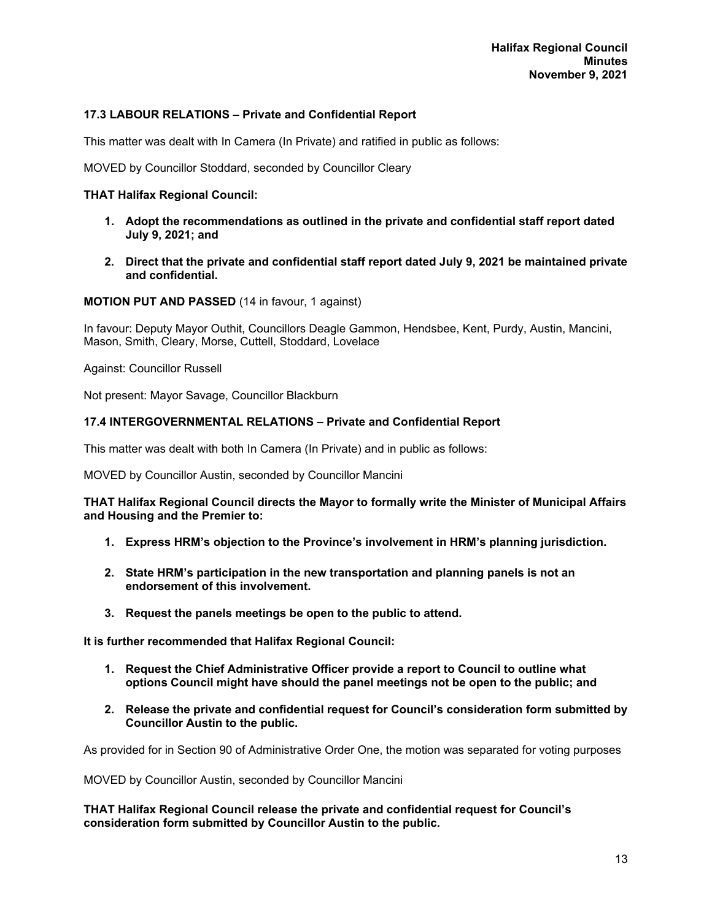# **17.3 LABOUR RELATIONS – Private and Confidential Report**

This matter was dealt with In Camera (In Private) and ratified in public as follows:

MOVED by Councillor Stoddard, seconded by Councillor Cleary

#### **THAT Halifax Regional Council:**

- **1. Adopt the recommendations as outlined in the private and confidential staff report dated July 9, 2021; and**
- **2. Direct that the private and confidential staff report dated July 9, 2021 be maintained private and confidential.**

#### **MOTION PUT AND PASSED** (14 in favour, 1 against)

In favour: Deputy Mayor Outhit, Councillors Deagle Gammon, Hendsbee, Kent, Purdy, Austin, Mancini, Mason, Smith, Cleary, Morse, Cuttell, Stoddard, Lovelace

Against: Councillor Russell

Not present: Mayor Savage, Councillor Blackburn

# **17.4 INTERGOVERNMENTAL RELATIONS – Private and Confidential Report**

This matter was dealt with both In Camera (In Private) and in public as follows:

MOVED by Councillor Austin, seconded by Councillor Mancini

#### **THAT Halifax Regional Council directs the Mayor to formally write the Minister of Municipal Affairs and Housing and the Premier to:**

- **1. Express HRM's objection to the Province's involvement in HRM's planning jurisdiction.**
- **2. State HRM's participation in the new transportation and planning panels is not an endorsement of this involvement.**
- **3. Request the panels meetings be open to the public to attend.**

**It is further recommended that Halifax Regional Council:** 

- **1. Request the Chief Administrative Officer provide a report to Council to outline what options Council might have should the panel meetings not be open to the public; and**
- **2. Release the private and confidential request for Council's consideration form submitted by Councillor Austin to the public.**

As provided for in Section 90 of Administrative Order One, the motion was separated for voting purposes

MOVED by Councillor Austin, seconded by Councillor Mancini

**THAT Halifax Regional Council release the private and confidential request for Council's consideration form submitted by Councillor Austin to the public.**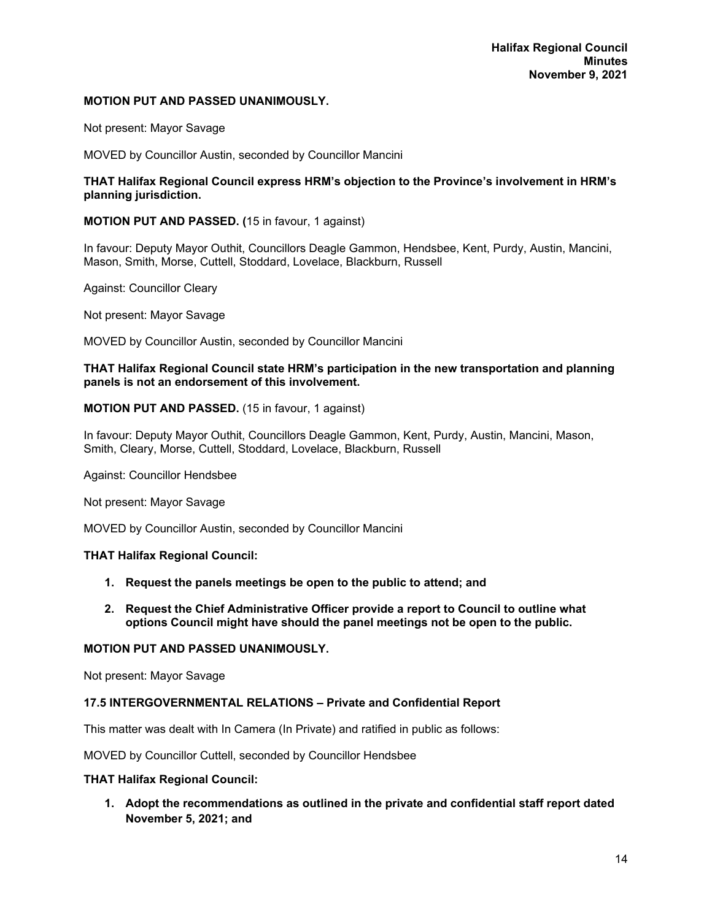### **MOTION PUT AND PASSED UNANIMOUSLY.**

Not present: Mayor Savage

MOVED by Councillor Austin, seconded by Councillor Mancini

#### **THAT Halifax Regional Council express HRM's objection to the Province's involvement in HRM's planning jurisdiction.**

# **MOTION PUT AND PASSED. (**15 in favour, 1 against)

In favour: Deputy Mayor Outhit, Councillors Deagle Gammon, Hendsbee, Kent, Purdy, Austin, Mancini, Mason, Smith, Morse, Cuttell, Stoddard, Lovelace, Blackburn, Russell

Against: Councillor Cleary

Not present: Mayor Savage

MOVED by Councillor Austin, seconded by Councillor Mancini

#### **THAT Halifax Regional Council state HRM's participation in the new transportation and planning panels is not an endorsement of this involvement.**

# **MOTION PUT AND PASSED.** (15 in favour, 1 against)

In favour: Deputy Mayor Outhit, Councillors Deagle Gammon, Kent, Purdy, Austin, Mancini, Mason, Smith, Cleary, Morse, Cuttell, Stoddard, Lovelace, Blackburn, Russell

Against: Councillor Hendsbee

Not present: Mayor Savage

MOVED by Councillor Austin, seconded by Councillor Mancini

#### **THAT Halifax Regional Council:**

- **1. Request the panels meetings be open to the public to attend; and**
- **2. Request the Chief Administrative Officer provide a report to Council to outline what options Council might have should the panel meetings not be open to the public.**

#### **MOTION PUT AND PASSED UNANIMOUSLY.**

Not present: Mayor Savage

#### **17.5 INTERGOVERNMENTAL RELATIONS – Private and Confidential Report**

This matter was dealt with In Camera (In Private) and ratified in public as follows:

MOVED by Councillor Cuttell, seconded by Councillor Hendsbee

#### **THAT Halifax Regional Council:**

**1. Adopt the recommendations as outlined in the private and confidential staff report dated November 5, 2021; and**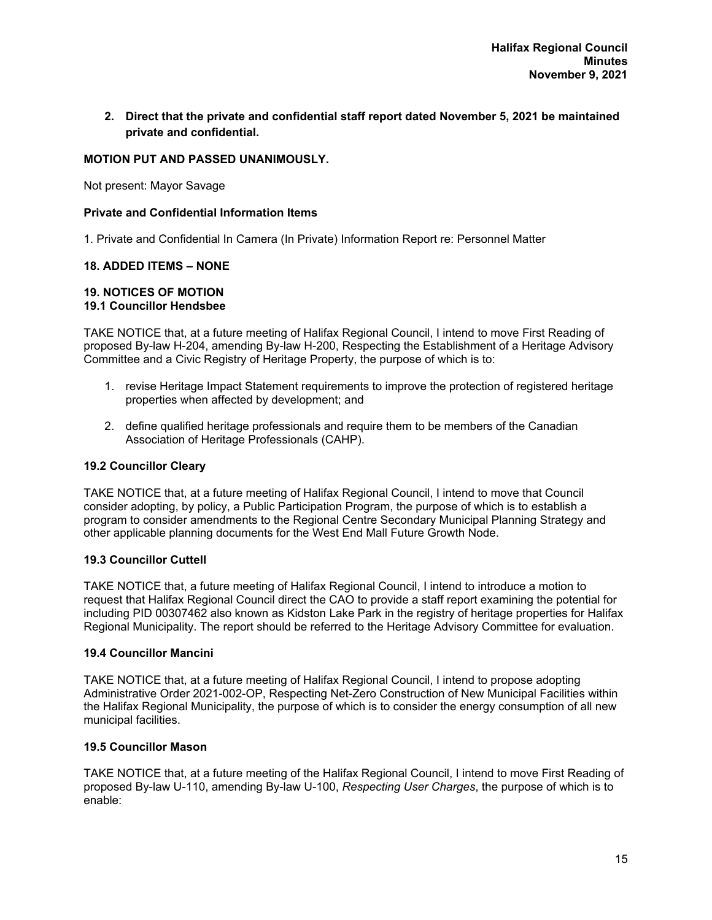**2. Direct that the private and confidential staff report dated November 5, 2021 be maintained private and confidential.** 

# **MOTION PUT AND PASSED UNANIMOUSLY.**

Not present: Mayor Savage

### **Private and Confidential Information Items**

1. Private and Confidential In Camera (In Private) Information Report re: Personnel Matter

# **18. ADDED ITEMS – NONE**

#### **19. NOTICES OF MOTION 19.1 Councillor Hendsbee**

TAKE NOTICE that, at a future meeting of Halifax Regional Council, I intend to move First Reading of proposed By-law H-204, amending By-law H-200, Respecting the Establishment of a Heritage Advisory Committee and a Civic Registry of Heritage Property, the purpose of which is to:

- 1. revise Heritage Impact Statement requirements to improve the protection of registered heritage properties when affected by development; and
- 2. define qualified heritage professionals and require them to be members of the Canadian Association of Heritage Professionals (CAHP).

# **19.2 Councillor Cleary**

TAKE NOTICE that, at a future meeting of Halifax Regional Council, I intend to move that Council consider adopting, by policy, a Public Participation Program, the purpose of which is to establish a program to consider amendments to the Regional Centre Secondary Municipal Planning Strategy and other applicable planning documents for the West End Mall Future Growth Node.

#### **19.3 Councillor Cuttell**

TAKE NOTICE that, a future meeting of Halifax Regional Council, I intend to introduce a motion to request that Halifax Regional Council direct the CAO to provide a staff report examining the potential for including PID 00307462 also known as Kidston Lake Park in the registry of heritage properties for Halifax Regional Municipality. The report should be referred to the Heritage Advisory Committee for evaluation.

#### **19.4 Councillor Mancini**

TAKE NOTICE that, at a future meeting of Halifax Regional Council, I intend to propose adopting Administrative Order 2021-002-OP, Respecting Net-Zero Construction of New Municipal Facilities within the Halifax Regional Municipality, the purpose of which is to consider the energy consumption of all new municipal facilities.

### **19.5 Councillor Mason**

TAKE NOTICE that, at a future meeting of the Halifax Regional Council, I intend to move First Reading of proposed By-law U-110, amending By-law U-100, *Respecting User Charges*, the purpose of which is to enable: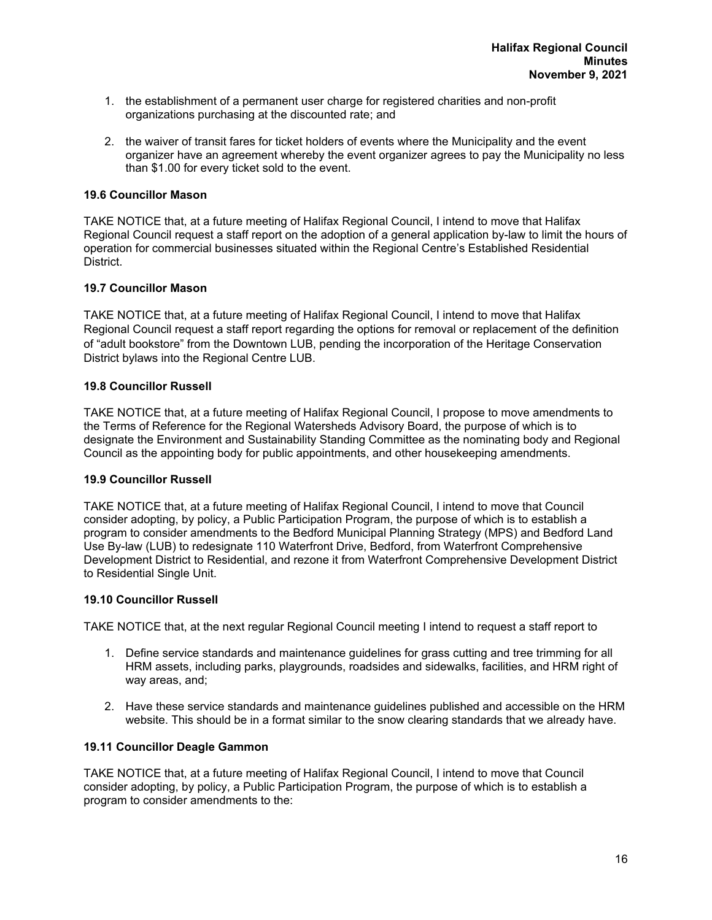- 1. the establishment of a permanent user charge for registered charities and non-profit organizations purchasing at the discounted rate; and
- 2. the waiver of transit fares for ticket holders of events where the Municipality and the event organizer have an agreement whereby the event organizer agrees to pay the Municipality no less than \$1.00 for every ticket sold to the event.

# **19.6 Councillor Mason**

TAKE NOTICE that, at a future meeting of Halifax Regional Council, I intend to move that Halifax Regional Council request a staff report on the adoption of a general application by-law to limit the hours of operation for commercial businesses situated within the Regional Centre's Established Residential District.

# **19.7 Councillor Mason**

TAKE NOTICE that, at a future meeting of Halifax Regional Council, I intend to move that Halifax Regional Council request a staff report regarding the options for removal or replacement of the definition of "adult bookstore" from the Downtown LUB, pending the incorporation of the Heritage Conservation District bylaws into the Regional Centre LUB.

# **19.8 Councillor Russell**

TAKE NOTICE that, at a future meeting of Halifax Regional Council, I propose to move amendments to the Terms of Reference for the Regional Watersheds Advisory Board, the purpose of which is to designate the Environment and Sustainability Standing Committee as the nominating body and Regional Council as the appointing body for public appointments, and other housekeeping amendments.

#### **19.9 Councillor Russell**

TAKE NOTICE that, at a future meeting of Halifax Regional Council, I intend to move that Council consider adopting, by policy, a Public Participation Program, the purpose of which is to establish a program to consider amendments to the Bedford Municipal Planning Strategy (MPS) and Bedford Land Use By-law (LUB) to redesignate 110 Waterfront Drive, Bedford, from Waterfront Comprehensive Development District to Residential, and rezone it from Waterfront Comprehensive Development District to Residential Single Unit.

#### **19.10 Councillor Russell**

TAKE NOTICE that, at the next regular Regional Council meeting I intend to request a staff report to

- 1. Define service standards and maintenance guidelines for grass cutting and tree trimming for all HRM assets, including parks, playgrounds, roadsides and sidewalks, facilities, and HRM right of way areas, and;
- 2. Have these service standards and maintenance guidelines published and accessible on the HRM website. This should be in a format similar to the snow clearing standards that we already have.

# **19.11 Councillor Deagle Gammon**

TAKE NOTICE that, at a future meeting of Halifax Regional Council, I intend to move that Council consider adopting, by policy, a Public Participation Program, the purpose of which is to establish a program to consider amendments to the: